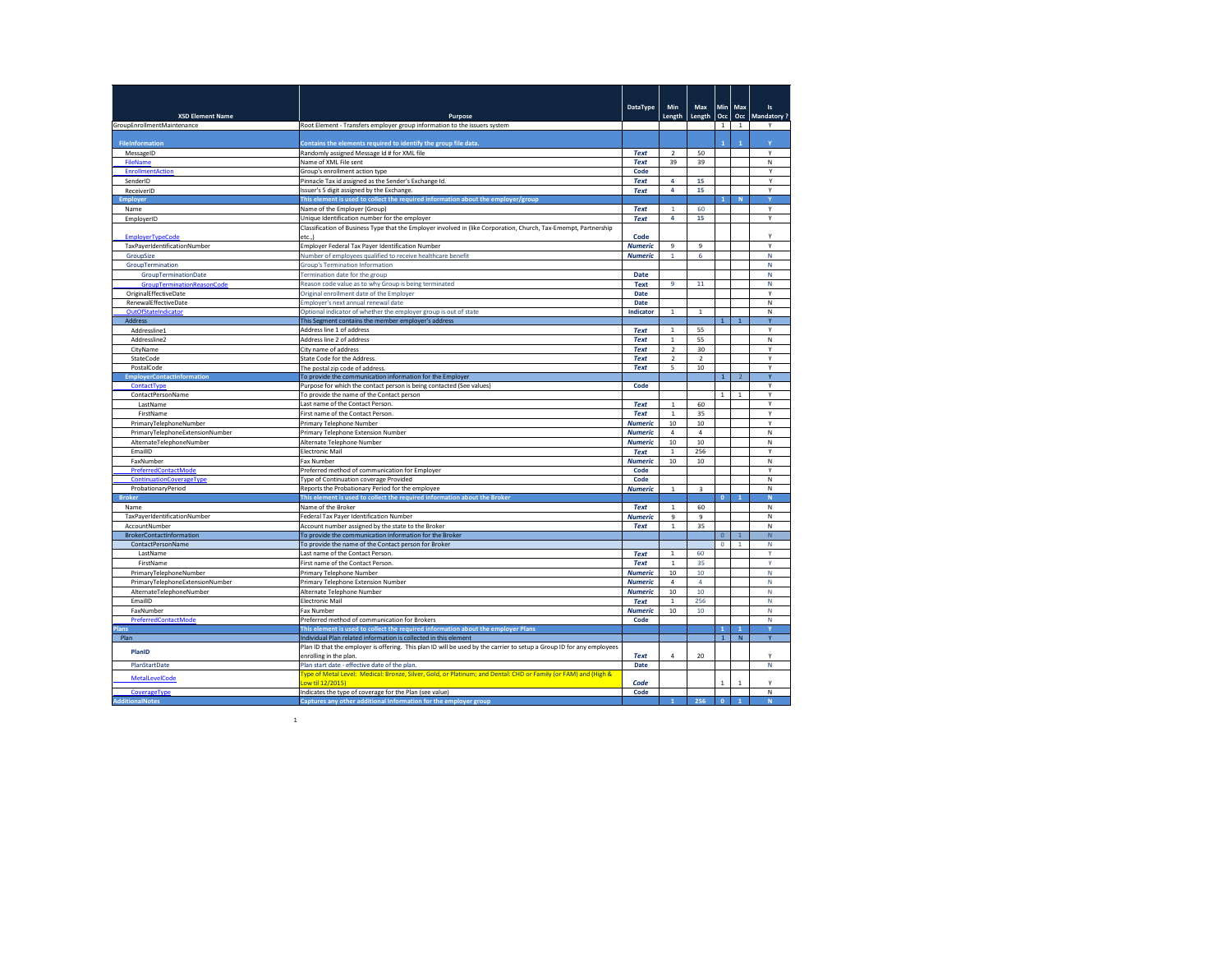| Min<br>$\mathsf{ls}$<br>DataType<br>Min<br>Max<br>Max<br>Occ<br><b>XSD Element Name</b><br>Length<br>Length<br>Occ   Mandatory ?<br>Purpose<br>$1\,$<br>$\,$ 1 $\,$<br>GroupEnrollmentMaintenance<br>Root Element - Transfers employer group information to the issuers system<br>Y<br><b>FileInformation</b><br>Contains the elements required to identify the group file data<br>Randomly assigned Message Id # for XML file<br>$\overline{2}$<br>Ÿ<br>50<br>MessageID<br><b>Text</b><br><b>FileName</b><br>Name of XML File sent<br><b>Text</b><br>39<br>39<br>N<br><b>EnrollmentAction</b><br>Group's enrollment action type<br>Code<br>Y<br>4<br>15<br>Pinnacle Tax id assigned as the Sender's Exchange Id.<br>Ÿ<br><b>Text</b><br>SenderID<br>$\overline{a}$<br>15<br>Y<br>Issuer's 5 digit assigned by the Exchange.<br><b>Text</b><br>ReceiverID<br>This element is used to collect the required information about the employer/group<br><b>Employer</b><br>Ÿ<br>N<br>Name of the Employer (Group)<br>Y<br><b>Text</b><br>$\overline{1}$<br>60<br>Name<br>$\overline{4}$<br>Y<br>EmployerID<br>Unique Identification number for the employer<br><b>Text</b><br>15<br>Classification of Business Type that the Employer involved in (like Corporation, Church, Tax-Emempt, Partnership<br><b>EmployerTypeCode</b><br>Code<br>etc.,<br>γ<br>TaxPayerIdentificationNumber<br>$\overline{9}$<br>Employer Federal Tax Payer Identification Number<br><b>Numeric</b><br>$\mathbf{q}$<br>Y<br>$\,1\,$<br>6<br>N<br>Number of employees qualified to receive healthcare benefit<br>GroupSize<br><b>Numeric</b><br>N<br>GroupTermination<br>Group's Termination Information<br>GroupTerminationDate<br>Termination date for the group<br>Date<br>N<br>Reason code value as to why Group is being terminated<br>9<br>11<br>N<br>GroupTerminationReasonCode<br><b>Text</b><br>OriginalEffectiveDate<br>Original enrollment date of the Employer<br>Ÿ<br>Date<br>RenewalEffectiveDate<br>Employer's next annual renewal date<br>Date<br>N<br>OutOfStateIndicator<br>Optional indicator of whether the employer group is out of state<br>Indicator<br>$\overline{1}$<br>$\,1\,$<br>N<br><b>Address</b><br>This Segment contains the member employer's address<br>$\mathbf{1}$<br>Y<br>$\mathbf{1}$<br>55<br>Addressline1<br>Address line 1 of address<br><b>Text</b><br>$\mathbf{1}$<br>v<br>Address line 2 of address<br>$\,1\,$<br>55<br>N<br>Addressline2<br><b>Text</b><br>$\mathbf 2$<br>30<br>CityName<br>City name of address<br><b>Text</b><br>Y<br>$\overline{2}$<br>$\overline{2}$<br>Y<br>StateCode<br>State Code for the Address.<br><b>Text</b><br>$\overline{\phantom{a}}$<br>10<br>Ÿ<br>PostalCode<br><b>Text</b><br>The postal zip code of address.<br><b>EmployerContactInformation</b><br>To provide the communication information for the Employer<br>Y<br>$\mathbf{1}$<br>$\overline{2}$<br>ContactType<br>Code<br>Purpose for which the contact person is being contacted (See values)<br>Y<br>$\,$ 1<br>Y<br>$\mathbf{1}$<br>ContactPersonName<br>To provide the name of the Contact person<br>60<br>LastName<br>Last name of the Contact Person<br><b>Text</b><br>$\overline{1}$<br>Y<br>First name of the Contact Person.<br>$\,$ 1<br>35<br>Ÿ<br>FirstName<br><b>Text</b><br>$10\,$<br>10<br>Y<br>PrimaryTelephoneNumber<br>Primary Telephone Number<br><b>Numeric</b><br>$\sqrt{4}$<br>PrimaryTelephoneExtensionNumber<br>Primary Telephone Extension Number<br><b>Numeric</b><br>$\it 4$<br>N<br>AlternateTelephoneNumber<br>Alternate Telephone Number<br><b>Numeric</b><br>$10\,$<br>10<br>N<br>EmailID<br>$\,1\,$<br>256<br><b>Electronic Mail</b><br><b>Text</b><br>Y<br>$10\,$<br>$10\,$<br>N<br>FaxNumber<br>Fax Number<br><b>Numeric</b><br>PreferredContactMode<br>Preferred method of communication for Employer<br>Code<br>Υ<br><b>ContinuationCoverageType</b><br>Type of Continuation coverage Provided<br>Code<br>N<br>$\,$ 1<br>$\mathbf 3$<br>N<br>Reports the Probationary Period for the employee<br>ProbationaryPeriod<br><b>Numeric</b><br>This element is used to collect the required information about the Broker<br><b>Broker</b><br>Ñ<br>$\Omega$<br>Name of the Broker<br>Name<br>N<br><b>Text</b><br>$\mathbf{1}$<br>60<br>$\overline{9}$<br>TaxPayerIdentificationNumber<br>Federal Tax Payer Identification Number<br><b>Numeric</b><br>9<br>N<br>$\mathbf{1}$<br>35<br>N<br>Account number assigned by the state to the Broker<br><b>Text</b><br>AccountNumber<br>To provide the communication information for the Broker<br>$\mathbf{0}$<br>N<br><b>BrokerContactInformation</b><br>$\mathbf{1}$<br>To provide the name of the Contact person for Broker<br>ContactPersonName<br>0<br>N<br>$\mathbf{1}$<br>LastName<br>Last name of the Contact Person.<br><b>Text</b><br>$\mathbf 1$<br>60<br>Υ<br>FirstName<br>First name of the Contact Person.<br>Ÿ<br>35<br><b>Text</b><br>$\,$ 1<br>$10\,$<br>10<br>${\sf N}$<br>PrimaryTelephoneNumber<br>Primary Telephone Number<br><b>Numeric</b><br>PrimaryTelephoneExtensionNumber<br>Primary Telephone Extension Number<br>$\overline{a}$<br>N<br><b>Numeric</b><br>$\overline{a}$<br>10<br>10<br>AlternateTelephoneNumber<br>Alternate Telephone Number<br><b>Numeric</b><br>N<br>256<br>EmailID<br><b>Electronic Mail</b><br><b>Text</b><br>$\,1\,$<br>N<br><b>Numeric</b><br>$10\,$<br>10<br>FaxNumber<br>Fax Number<br>N<br>Preferred method of communication for Brokers<br>N<br>PreferredContactMode<br>Code<br>This element is used to collect the required information about the employer Plans<br>Plans<br>Ÿ<br>Plan<br>Individual Plan related information is collected in this element<br>$\overline{1}$<br>$\mathsf{N}$<br>$\mathbf{v}$<br>Plan ID that the employer is offering. This plan ID will be used by the carrier to setup a Group ID for any employees<br>PlanID<br>20<br>enrolling in the plan.<br><b>Text</b><br>$\overline{a}$<br>Y<br>PlanStartDate<br>Plan start date - effective date of the plan.<br>Date<br>N<br>Type of Metal Level: Medical: Bronze, Silver, Gold, or Platinum; and Dental: CHD or Family (or FAM) and (High &<br>MetalLevelCode<br>ow til 12/2015)<br>Code<br>$\overline{1}$<br>$\mathbf{1}$<br>Y<br>CoverageTvpe<br>Indicates the type of coverage for the Plan (see value)<br>Code<br>N<br><b>AdditionalNotes</b><br>Captures any other additional Information for the employer group<br>256<br>$\overline{N}$<br>$\mathbf{0}$<br>$\overline{1}$<br>$\overline{1}$ |  |  |  |  |
|-------------------------------------------------------------------------------------------------------------------------------------------------------------------------------------------------------------------------------------------------------------------------------------------------------------------------------------------------------------------------------------------------------------------------------------------------------------------------------------------------------------------------------------------------------------------------------------------------------------------------------------------------------------------------------------------------------------------------------------------------------------------------------------------------------------------------------------------------------------------------------------------------------------------------------------------------------------------------------------------------------------------------------------------------------------------------------------------------------------------------------------------------------------------------------------------------------------------------------------------------------------------------------------------------------------------------------------------------------------------------------------------------------------------------------------------------------------------------------------------------------------------------------------------------------------------------------------------------------------------------------------------------------------------------------------------------------------------------------------------------------------------------------------------------------------------------------------------------------------------------------------------------------------------------------------------------------------------------------------------------------------------------------------------------------------------------------------------------------------------------------------------------------------------------------------------------------------------------------------------------------------------------------------------------------------------------------------------------------------------------------------------------------------------------------------------------------------------------------------------------------------------------------------------------------------------------------------------------------------------------------------------------------------------------------------------------------------------------------------------------------------------------------------------------------------------------------------------------------------------------------------------------------------------------------------------------------------------------------------------------------------------------------------------------------------------------------------------------------------------------------------------------------------------------------------------------------------------------------------------------------------------------------------------------------------------------------------------------------------------------------------------------------------------------------------------------------------------------------------------------------------------------------------------------------------------------------------------------------------------------------------------------------------------------------------------------------------------------------------------------------------------------------------------------------------------------------------------------------------------------------------------------------------------------------------------------------------------------------------------------------------------------------------------------------------------------------------------------------------------------------------------------------------------------------------------------------------------------------------------------------------------------------------------------------------------------------------------------------------------------------------------------------------------------------------------------------------------------------------------------------------------------------------------------------------------------------------------------------------------------------------------------------------------------------------------------------------------------------------------------------------------------------------------------------------------------------------------------------------------------------------------------------------------------------------------------------------------------------------------------------------------------------------------------------------------------------------------------------------------------------------------------------------------------------------------------------------------------------------------------------------------------------------------------------------------------------------------------------------------------------------------------------------------------------------------------------------------------------------------------------------------------------------------------------------------------------------------------------------------------------------------------------------------------------------------------------------------------------------------------------------------------------------------------------------------------------------------------------------------------------------------------------------------------------------------------------------------------------------------------------------------------------------------------------------------------------------------------------------------------------------------------------------------------------------------------------------------------------------------------------------------------------------------------------------------------------------------------------------------------------------------------------------------------------------------------------------------------------------------------------------------------|--|--|--|--|
|                                                                                                                                                                                                                                                                                                                                                                                                                                                                                                                                                                                                                                                                                                                                                                                                                                                                                                                                                                                                                                                                                                                                                                                                                                                                                                                                                                                                                                                                                                                                                                                                                                                                                                                                                                                                                                                                                                                                                                                                                                                                                                                                                                                                                                                                                                                                                                                                                                                                                                                                                                                                                                                                                                                                                                                                                                                                                                                                                                                                                                                                                                                                                                                                                                                                                                                                                                                                                                                                                                                                                                                                                                                                                                                                                                                                                                                                                                                                                                                                                                                                                                                                                                                                                                                                                                                                                                                                                                                                                                                                                                                                                                                                                                                                                                                                                                                                                                                                                                                                                                                                                                                                                                                                                                                                                                                                                                                                                                                                                                                                                                                                                                                                                                                                                                                                                                                                                                                                                                                                                                                                                                                                                                                                                                                                                                                                                                                                                                                                                                                         |  |  |  |  |
|                                                                                                                                                                                                                                                                                                                                                                                                                                                                                                                                                                                                                                                                                                                                                                                                                                                                                                                                                                                                                                                                                                                                                                                                                                                                                                                                                                                                                                                                                                                                                                                                                                                                                                                                                                                                                                                                                                                                                                                                                                                                                                                                                                                                                                                                                                                                                                                                                                                                                                                                                                                                                                                                                                                                                                                                                                                                                                                                                                                                                                                                                                                                                                                                                                                                                                                                                                                                                                                                                                                                                                                                                                                                                                                                                                                                                                                                                                                                                                                                                                                                                                                                                                                                                                                                                                                                                                                                                                                                                                                                                                                                                                                                                                                                                                                                                                                                                                                                                                                                                                                                                                                                                                                                                                                                                                                                                                                                                                                                                                                                                                                                                                                                                                                                                                                                                                                                                                                                                                                                                                                                                                                                                                                                                                                                                                                                                                                                                                                                                                                         |  |  |  |  |
|                                                                                                                                                                                                                                                                                                                                                                                                                                                                                                                                                                                                                                                                                                                                                                                                                                                                                                                                                                                                                                                                                                                                                                                                                                                                                                                                                                                                                                                                                                                                                                                                                                                                                                                                                                                                                                                                                                                                                                                                                                                                                                                                                                                                                                                                                                                                                                                                                                                                                                                                                                                                                                                                                                                                                                                                                                                                                                                                                                                                                                                                                                                                                                                                                                                                                                                                                                                                                                                                                                                                                                                                                                                                                                                                                                                                                                                                                                                                                                                                                                                                                                                                                                                                                                                                                                                                                                                                                                                                                                                                                                                                                                                                                                                                                                                                                                                                                                                                                                                                                                                                                                                                                                                                                                                                                                                                                                                                                                                                                                                                                                                                                                                                                                                                                                                                                                                                                                                                                                                                                                                                                                                                                                                                                                                                                                                                                                                                                                                                                                                         |  |  |  |  |
|                                                                                                                                                                                                                                                                                                                                                                                                                                                                                                                                                                                                                                                                                                                                                                                                                                                                                                                                                                                                                                                                                                                                                                                                                                                                                                                                                                                                                                                                                                                                                                                                                                                                                                                                                                                                                                                                                                                                                                                                                                                                                                                                                                                                                                                                                                                                                                                                                                                                                                                                                                                                                                                                                                                                                                                                                                                                                                                                                                                                                                                                                                                                                                                                                                                                                                                                                                                                                                                                                                                                                                                                                                                                                                                                                                                                                                                                                                                                                                                                                                                                                                                                                                                                                                                                                                                                                                                                                                                                                                                                                                                                                                                                                                                                                                                                                                                                                                                                                                                                                                                                                                                                                                                                                                                                                                                                                                                                                                                                                                                                                                                                                                                                                                                                                                                                                                                                                                                                                                                                                                                                                                                                                                                                                                                                                                                                                                                                                                                                                                                         |  |  |  |  |
|                                                                                                                                                                                                                                                                                                                                                                                                                                                                                                                                                                                                                                                                                                                                                                                                                                                                                                                                                                                                                                                                                                                                                                                                                                                                                                                                                                                                                                                                                                                                                                                                                                                                                                                                                                                                                                                                                                                                                                                                                                                                                                                                                                                                                                                                                                                                                                                                                                                                                                                                                                                                                                                                                                                                                                                                                                                                                                                                                                                                                                                                                                                                                                                                                                                                                                                                                                                                                                                                                                                                                                                                                                                                                                                                                                                                                                                                                                                                                                                                                                                                                                                                                                                                                                                                                                                                                                                                                                                                                                                                                                                                                                                                                                                                                                                                                                                                                                                                                                                                                                                                                                                                                                                                                                                                                                                                                                                                                                                                                                                                                                                                                                                                                                                                                                                                                                                                                                                                                                                                                                                                                                                                                                                                                                                                                                                                                                                                                                                                                                                         |  |  |  |  |
|                                                                                                                                                                                                                                                                                                                                                                                                                                                                                                                                                                                                                                                                                                                                                                                                                                                                                                                                                                                                                                                                                                                                                                                                                                                                                                                                                                                                                                                                                                                                                                                                                                                                                                                                                                                                                                                                                                                                                                                                                                                                                                                                                                                                                                                                                                                                                                                                                                                                                                                                                                                                                                                                                                                                                                                                                                                                                                                                                                                                                                                                                                                                                                                                                                                                                                                                                                                                                                                                                                                                                                                                                                                                                                                                                                                                                                                                                                                                                                                                                                                                                                                                                                                                                                                                                                                                                                                                                                                                                                                                                                                                                                                                                                                                                                                                                                                                                                                                                                                                                                                                                                                                                                                                                                                                                                                                                                                                                                                                                                                                                                                                                                                                                                                                                                                                                                                                                                                                                                                                                                                                                                                                                                                                                                                                                                                                                                                                                                                                                                                         |  |  |  |  |
|                                                                                                                                                                                                                                                                                                                                                                                                                                                                                                                                                                                                                                                                                                                                                                                                                                                                                                                                                                                                                                                                                                                                                                                                                                                                                                                                                                                                                                                                                                                                                                                                                                                                                                                                                                                                                                                                                                                                                                                                                                                                                                                                                                                                                                                                                                                                                                                                                                                                                                                                                                                                                                                                                                                                                                                                                                                                                                                                                                                                                                                                                                                                                                                                                                                                                                                                                                                                                                                                                                                                                                                                                                                                                                                                                                                                                                                                                                                                                                                                                                                                                                                                                                                                                                                                                                                                                                                                                                                                                                                                                                                                                                                                                                                                                                                                                                                                                                                                                                                                                                                                                                                                                                                                                                                                                                                                                                                                                                                                                                                                                                                                                                                                                                                                                                                                                                                                                                                                                                                                                                                                                                                                                                                                                                                                                                                                                                                                                                                                                                                         |  |  |  |  |
|                                                                                                                                                                                                                                                                                                                                                                                                                                                                                                                                                                                                                                                                                                                                                                                                                                                                                                                                                                                                                                                                                                                                                                                                                                                                                                                                                                                                                                                                                                                                                                                                                                                                                                                                                                                                                                                                                                                                                                                                                                                                                                                                                                                                                                                                                                                                                                                                                                                                                                                                                                                                                                                                                                                                                                                                                                                                                                                                                                                                                                                                                                                                                                                                                                                                                                                                                                                                                                                                                                                                                                                                                                                                                                                                                                                                                                                                                                                                                                                                                                                                                                                                                                                                                                                                                                                                                                                                                                                                                                                                                                                                                                                                                                                                                                                                                                                                                                                                                                                                                                                                                                                                                                                                                                                                                                                                                                                                                                                                                                                                                                                                                                                                                                                                                                                                                                                                                                                                                                                                                                                                                                                                                                                                                                                                                                                                                                                                                                                                                                                         |  |  |  |  |
|                                                                                                                                                                                                                                                                                                                                                                                                                                                                                                                                                                                                                                                                                                                                                                                                                                                                                                                                                                                                                                                                                                                                                                                                                                                                                                                                                                                                                                                                                                                                                                                                                                                                                                                                                                                                                                                                                                                                                                                                                                                                                                                                                                                                                                                                                                                                                                                                                                                                                                                                                                                                                                                                                                                                                                                                                                                                                                                                                                                                                                                                                                                                                                                                                                                                                                                                                                                                                                                                                                                                                                                                                                                                                                                                                                                                                                                                                                                                                                                                                                                                                                                                                                                                                                                                                                                                                                                                                                                                                                                                                                                                                                                                                                                                                                                                                                                                                                                                                                                                                                                                                                                                                                                                                                                                                                                                                                                                                                                                                                                                                                                                                                                                                                                                                                                                                                                                                                                                                                                                                                                                                                                                                                                                                                                                                                                                                                                                                                                                                                                         |  |  |  |  |
|                                                                                                                                                                                                                                                                                                                                                                                                                                                                                                                                                                                                                                                                                                                                                                                                                                                                                                                                                                                                                                                                                                                                                                                                                                                                                                                                                                                                                                                                                                                                                                                                                                                                                                                                                                                                                                                                                                                                                                                                                                                                                                                                                                                                                                                                                                                                                                                                                                                                                                                                                                                                                                                                                                                                                                                                                                                                                                                                                                                                                                                                                                                                                                                                                                                                                                                                                                                                                                                                                                                                                                                                                                                                                                                                                                                                                                                                                                                                                                                                                                                                                                                                                                                                                                                                                                                                                                                                                                                                                                                                                                                                                                                                                                                                                                                                                                                                                                                                                                                                                                                                                                                                                                                                                                                                                                                                                                                                                                                                                                                                                                                                                                                                                                                                                                                                                                                                                                                                                                                                                                                                                                                                                                                                                                                                                                                                                                                                                                                                                                                         |  |  |  |  |
|                                                                                                                                                                                                                                                                                                                                                                                                                                                                                                                                                                                                                                                                                                                                                                                                                                                                                                                                                                                                                                                                                                                                                                                                                                                                                                                                                                                                                                                                                                                                                                                                                                                                                                                                                                                                                                                                                                                                                                                                                                                                                                                                                                                                                                                                                                                                                                                                                                                                                                                                                                                                                                                                                                                                                                                                                                                                                                                                                                                                                                                                                                                                                                                                                                                                                                                                                                                                                                                                                                                                                                                                                                                                                                                                                                                                                                                                                                                                                                                                                                                                                                                                                                                                                                                                                                                                                                                                                                                                                                                                                                                                                                                                                                                                                                                                                                                                                                                                                                                                                                                                                                                                                                                                                                                                                                                                                                                                                                                                                                                                                                                                                                                                                                                                                                                                                                                                                                                                                                                                                                                                                                                                                                                                                                                                                                                                                                                                                                                                                                                         |  |  |  |  |
|                                                                                                                                                                                                                                                                                                                                                                                                                                                                                                                                                                                                                                                                                                                                                                                                                                                                                                                                                                                                                                                                                                                                                                                                                                                                                                                                                                                                                                                                                                                                                                                                                                                                                                                                                                                                                                                                                                                                                                                                                                                                                                                                                                                                                                                                                                                                                                                                                                                                                                                                                                                                                                                                                                                                                                                                                                                                                                                                                                                                                                                                                                                                                                                                                                                                                                                                                                                                                                                                                                                                                                                                                                                                                                                                                                                                                                                                                                                                                                                                                                                                                                                                                                                                                                                                                                                                                                                                                                                                                                                                                                                                                                                                                                                                                                                                                                                                                                                                                                                                                                                                                                                                                                                                                                                                                                                                                                                                                                                                                                                                                                                                                                                                                                                                                                                                                                                                                                                                                                                                                                                                                                                                                                                                                                                                                                                                                                                                                                                                                                                         |  |  |  |  |
|                                                                                                                                                                                                                                                                                                                                                                                                                                                                                                                                                                                                                                                                                                                                                                                                                                                                                                                                                                                                                                                                                                                                                                                                                                                                                                                                                                                                                                                                                                                                                                                                                                                                                                                                                                                                                                                                                                                                                                                                                                                                                                                                                                                                                                                                                                                                                                                                                                                                                                                                                                                                                                                                                                                                                                                                                                                                                                                                                                                                                                                                                                                                                                                                                                                                                                                                                                                                                                                                                                                                                                                                                                                                                                                                                                                                                                                                                                                                                                                                                                                                                                                                                                                                                                                                                                                                                                                                                                                                                                                                                                                                                                                                                                                                                                                                                                                                                                                                                                                                                                                                                                                                                                                                                                                                                                                                                                                                                                                                                                                                                                                                                                                                                                                                                                                                                                                                                                                                                                                                                                                                                                                                                                                                                                                                                                                                                                                                                                                                                                                         |  |  |  |  |
|                                                                                                                                                                                                                                                                                                                                                                                                                                                                                                                                                                                                                                                                                                                                                                                                                                                                                                                                                                                                                                                                                                                                                                                                                                                                                                                                                                                                                                                                                                                                                                                                                                                                                                                                                                                                                                                                                                                                                                                                                                                                                                                                                                                                                                                                                                                                                                                                                                                                                                                                                                                                                                                                                                                                                                                                                                                                                                                                                                                                                                                                                                                                                                                                                                                                                                                                                                                                                                                                                                                                                                                                                                                                                                                                                                                                                                                                                                                                                                                                                                                                                                                                                                                                                                                                                                                                                                                                                                                                                                                                                                                                                                                                                                                                                                                                                                                                                                                                                                                                                                                                                                                                                                                                                                                                                                                                                                                                                                                                                                                                                                                                                                                                                                                                                                                                                                                                                                                                                                                                                                                                                                                                                                                                                                                                                                                                                                                                                                                                                                                         |  |  |  |  |
|                                                                                                                                                                                                                                                                                                                                                                                                                                                                                                                                                                                                                                                                                                                                                                                                                                                                                                                                                                                                                                                                                                                                                                                                                                                                                                                                                                                                                                                                                                                                                                                                                                                                                                                                                                                                                                                                                                                                                                                                                                                                                                                                                                                                                                                                                                                                                                                                                                                                                                                                                                                                                                                                                                                                                                                                                                                                                                                                                                                                                                                                                                                                                                                                                                                                                                                                                                                                                                                                                                                                                                                                                                                                                                                                                                                                                                                                                                                                                                                                                                                                                                                                                                                                                                                                                                                                                                                                                                                                                                                                                                                                                                                                                                                                                                                                                                                                                                                                                                                                                                                                                                                                                                                                                                                                                                                                                                                                                                                                                                                                                                                                                                                                                                                                                                                                                                                                                                                                                                                                                                                                                                                                                                                                                                                                                                                                                                                                                                                                                                                         |  |  |  |  |
|                                                                                                                                                                                                                                                                                                                                                                                                                                                                                                                                                                                                                                                                                                                                                                                                                                                                                                                                                                                                                                                                                                                                                                                                                                                                                                                                                                                                                                                                                                                                                                                                                                                                                                                                                                                                                                                                                                                                                                                                                                                                                                                                                                                                                                                                                                                                                                                                                                                                                                                                                                                                                                                                                                                                                                                                                                                                                                                                                                                                                                                                                                                                                                                                                                                                                                                                                                                                                                                                                                                                                                                                                                                                                                                                                                                                                                                                                                                                                                                                                                                                                                                                                                                                                                                                                                                                                                                                                                                                                                                                                                                                                                                                                                                                                                                                                                                                                                                                                                                                                                                                                                                                                                                                                                                                                                                                                                                                                                                                                                                                                                                                                                                                                                                                                                                                                                                                                                                                                                                                                                                                                                                                                                                                                                                                                                                                                                                                                                                                                                                         |  |  |  |  |
|                                                                                                                                                                                                                                                                                                                                                                                                                                                                                                                                                                                                                                                                                                                                                                                                                                                                                                                                                                                                                                                                                                                                                                                                                                                                                                                                                                                                                                                                                                                                                                                                                                                                                                                                                                                                                                                                                                                                                                                                                                                                                                                                                                                                                                                                                                                                                                                                                                                                                                                                                                                                                                                                                                                                                                                                                                                                                                                                                                                                                                                                                                                                                                                                                                                                                                                                                                                                                                                                                                                                                                                                                                                                                                                                                                                                                                                                                                                                                                                                                                                                                                                                                                                                                                                                                                                                                                                                                                                                                                                                                                                                                                                                                                                                                                                                                                                                                                                                                                                                                                                                                                                                                                                                                                                                                                                                                                                                                                                                                                                                                                                                                                                                                                                                                                                                                                                                                                                                                                                                                                                                                                                                                                                                                                                                                                                                                                                                                                                                                                                         |  |  |  |  |
|                                                                                                                                                                                                                                                                                                                                                                                                                                                                                                                                                                                                                                                                                                                                                                                                                                                                                                                                                                                                                                                                                                                                                                                                                                                                                                                                                                                                                                                                                                                                                                                                                                                                                                                                                                                                                                                                                                                                                                                                                                                                                                                                                                                                                                                                                                                                                                                                                                                                                                                                                                                                                                                                                                                                                                                                                                                                                                                                                                                                                                                                                                                                                                                                                                                                                                                                                                                                                                                                                                                                                                                                                                                                                                                                                                                                                                                                                                                                                                                                                                                                                                                                                                                                                                                                                                                                                                                                                                                                                                                                                                                                                                                                                                                                                                                                                                                                                                                                                                                                                                                                                                                                                                                                                                                                                                                                                                                                                                                                                                                                                                                                                                                                                                                                                                                                                                                                                                                                                                                                                                                                                                                                                                                                                                                                                                                                                                                                                                                                                                                         |  |  |  |  |
|                                                                                                                                                                                                                                                                                                                                                                                                                                                                                                                                                                                                                                                                                                                                                                                                                                                                                                                                                                                                                                                                                                                                                                                                                                                                                                                                                                                                                                                                                                                                                                                                                                                                                                                                                                                                                                                                                                                                                                                                                                                                                                                                                                                                                                                                                                                                                                                                                                                                                                                                                                                                                                                                                                                                                                                                                                                                                                                                                                                                                                                                                                                                                                                                                                                                                                                                                                                                                                                                                                                                                                                                                                                                                                                                                                                                                                                                                                                                                                                                                                                                                                                                                                                                                                                                                                                                                                                                                                                                                                                                                                                                                                                                                                                                                                                                                                                                                                                                                                                                                                                                                                                                                                                                                                                                                                                                                                                                                                                                                                                                                                                                                                                                                                                                                                                                                                                                                                                                                                                                                                                                                                                                                                                                                                                                                                                                                                                                                                                                                                                         |  |  |  |  |
|                                                                                                                                                                                                                                                                                                                                                                                                                                                                                                                                                                                                                                                                                                                                                                                                                                                                                                                                                                                                                                                                                                                                                                                                                                                                                                                                                                                                                                                                                                                                                                                                                                                                                                                                                                                                                                                                                                                                                                                                                                                                                                                                                                                                                                                                                                                                                                                                                                                                                                                                                                                                                                                                                                                                                                                                                                                                                                                                                                                                                                                                                                                                                                                                                                                                                                                                                                                                                                                                                                                                                                                                                                                                                                                                                                                                                                                                                                                                                                                                                                                                                                                                                                                                                                                                                                                                                                                                                                                                                                                                                                                                                                                                                                                                                                                                                                                                                                                                                                                                                                                                                                                                                                                                                                                                                                                                                                                                                                                                                                                                                                                                                                                                                                                                                                                                                                                                                                                                                                                                                                                                                                                                                                                                                                                                                                                                                                                                                                                                                                                         |  |  |  |  |
|                                                                                                                                                                                                                                                                                                                                                                                                                                                                                                                                                                                                                                                                                                                                                                                                                                                                                                                                                                                                                                                                                                                                                                                                                                                                                                                                                                                                                                                                                                                                                                                                                                                                                                                                                                                                                                                                                                                                                                                                                                                                                                                                                                                                                                                                                                                                                                                                                                                                                                                                                                                                                                                                                                                                                                                                                                                                                                                                                                                                                                                                                                                                                                                                                                                                                                                                                                                                                                                                                                                                                                                                                                                                                                                                                                                                                                                                                                                                                                                                                                                                                                                                                                                                                                                                                                                                                                                                                                                                                                                                                                                                                                                                                                                                                                                                                                                                                                                                                                                                                                                                                                                                                                                                                                                                                                                                                                                                                                                                                                                                                                                                                                                                                                                                                                                                                                                                                                                                                                                                                                                                                                                                                                                                                                                                                                                                                                                                                                                                                                                         |  |  |  |  |
|                                                                                                                                                                                                                                                                                                                                                                                                                                                                                                                                                                                                                                                                                                                                                                                                                                                                                                                                                                                                                                                                                                                                                                                                                                                                                                                                                                                                                                                                                                                                                                                                                                                                                                                                                                                                                                                                                                                                                                                                                                                                                                                                                                                                                                                                                                                                                                                                                                                                                                                                                                                                                                                                                                                                                                                                                                                                                                                                                                                                                                                                                                                                                                                                                                                                                                                                                                                                                                                                                                                                                                                                                                                                                                                                                                                                                                                                                                                                                                                                                                                                                                                                                                                                                                                                                                                                                                                                                                                                                                                                                                                                                                                                                                                                                                                                                                                                                                                                                                                                                                                                                                                                                                                                                                                                                                                                                                                                                                                                                                                                                                                                                                                                                                                                                                                                                                                                                                                                                                                                                                                                                                                                                                                                                                                                                                                                                                                                                                                                                                                         |  |  |  |  |
|                                                                                                                                                                                                                                                                                                                                                                                                                                                                                                                                                                                                                                                                                                                                                                                                                                                                                                                                                                                                                                                                                                                                                                                                                                                                                                                                                                                                                                                                                                                                                                                                                                                                                                                                                                                                                                                                                                                                                                                                                                                                                                                                                                                                                                                                                                                                                                                                                                                                                                                                                                                                                                                                                                                                                                                                                                                                                                                                                                                                                                                                                                                                                                                                                                                                                                                                                                                                                                                                                                                                                                                                                                                                                                                                                                                                                                                                                                                                                                                                                                                                                                                                                                                                                                                                                                                                                                                                                                                                                                                                                                                                                                                                                                                                                                                                                                                                                                                                                                                                                                                                                                                                                                                                                                                                                                                                                                                                                                                                                                                                                                                                                                                                                                                                                                                                                                                                                                                                                                                                                                                                                                                                                                                                                                                                                                                                                                                                                                                                                                                         |  |  |  |  |
|                                                                                                                                                                                                                                                                                                                                                                                                                                                                                                                                                                                                                                                                                                                                                                                                                                                                                                                                                                                                                                                                                                                                                                                                                                                                                                                                                                                                                                                                                                                                                                                                                                                                                                                                                                                                                                                                                                                                                                                                                                                                                                                                                                                                                                                                                                                                                                                                                                                                                                                                                                                                                                                                                                                                                                                                                                                                                                                                                                                                                                                                                                                                                                                                                                                                                                                                                                                                                                                                                                                                                                                                                                                                                                                                                                                                                                                                                                                                                                                                                                                                                                                                                                                                                                                                                                                                                                                                                                                                                                                                                                                                                                                                                                                                                                                                                                                                                                                                                                                                                                                                                                                                                                                                                                                                                                                                                                                                                                                                                                                                                                                                                                                                                                                                                                                                                                                                                                                                                                                                                                                                                                                                                                                                                                                                                                                                                                                                                                                                                                                         |  |  |  |  |
|                                                                                                                                                                                                                                                                                                                                                                                                                                                                                                                                                                                                                                                                                                                                                                                                                                                                                                                                                                                                                                                                                                                                                                                                                                                                                                                                                                                                                                                                                                                                                                                                                                                                                                                                                                                                                                                                                                                                                                                                                                                                                                                                                                                                                                                                                                                                                                                                                                                                                                                                                                                                                                                                                                                                                                                                                                                                                                                                                                                                                                                                                                                                                                                                                                                                                                                                                                                                                                                                                                                                                                                                                                                                                                                                                                                                                                                                                                                                                                                                                                                                                                                                                                                                                                                                                                                                                                                                                                                                                                                                                                                                                                                                                                                                                                                                                                                                                                                                                                                                                                                                                                                                                                                                                                                                                                                                                                                                                                                                                                                                                                                                                                                                                                                                                                                                                                                                                                                                                                                                                                                                                                                                                                                                                                                                                                                                                                                                                                                                                                                         |  |  |  |  |
|                                                                                                                                                                                                                                                                                                                                                                                                                                                                                                                                                                                                                                                                                                                                                                                                                                                                                                                                                                                                                                                                                                                                                                                                                                                                                                                                                                                                                                                                                                                                                                                                                                                                                                                                                                                                                                                                                                                                                                                                                                                                                                                                                                                                                                                                                                                                                                                                                                                                                                                                                                                                                                                                                                                                                                                                                                                                                                                                                                                                                                                                                                                                                                                                                                                                                                                                                                                                                                                                                                                                                                                                                                                                                                                                                                                                                                                                                                                                                                                                                                                                                                                                                                                                                                                                                                                                                                                                                                                                                                                                                                                                                                                                                                                                                                                                                                                                                                                                                                                                                                                                                                                                                                                                                                                                                                                                                                                                                                                                                                                                                                                                                                                                                                                                                                                                                                                                                                                                                                                                                                                                                                                                                                                                                                                                                                                                                                                                                                                                                                                         |  |  |  |  |
|                                                                                                                                                                                                                                                                                                                                                                                                                                                                                                                                                                                                                                                                                                                                                                                                                                                                                                                                                                                                                                                                                                                                                                                                                                                                                                                                                                                                                                                                                                                                                                                                                                                                                                                                                                                                                                                                                                                                                                                                                                                                                                                                                                                                                                                                                                                                                                                                                                                                                                                                                                                                                                                                                                                                                                                                                                                                                                                                                                                                                                                                                                                                                                                                                                                                                                                                                                                                                                                                                                                                                                                                                                                                                                                                                                                                                                                                                                                                                                                                                                                                                                                                                                                                                                                                                                                                                                                                                                                                                                                                                                                                                                                                                                                                                                                                                                                                                                                                                                                                                                                                                                                                                                                                                                                                                                                                                                                                                                                                                                                                                                                                                                                                                                                                                                                                                                                                                                                                                                                                                                                                                                                                                                                                                                                                                                                                                                                                                                                                                                                         |  |  |  |  |
|                                                                                                                                                                                                                                                                                                                                                                                                                                                                                                                                                                                                                                                                                                                                                                                                                                                                                                                                                                                                                                                                                                                                                                                                                                                                                                                                                                                                                                                                                                                                                                                                                                                                                                                                                                                                                                                                                                                                                                                                                                                                                                                                                                                                                                                                                                                                                                                                                                                                                                                                                                                                                                                                                                                                                                                                                                                                                                                                                                                                                                                                                                                                                                                                                                                                                                                                                                                                                                                                                                                                                                                                                                                                                                                                                                                                                                                                                                                                                                                                                                                                                                                                                                                                                                                                                                                                                                                                                                                                                                                                                                                                                                                                                                                                                                                                                                                                                                                                                                                                                                                                                                                                                                                                                                                                                                                                                                                                                                                                                                                                                                                                                                                                                                                                                                                                                                                                                                                                                                                                                                                                                                                                                                                                                                                                                                                                                                                                                                                                                                                         |  |  |  |  |
|                                                                                                                                                                                                                                                                                                                                                                                                                                                                                                                                                                                                                                                                                                                                                                                                                                                                                                                                                                                                                                                                                                                                                                                                                                                                                                                                                                                                                                                                                                                                                                                                                                                                                                                                                                                                                                                                                                                                                                                                                                                                                                                                                                                                                                                                                                                                                                                                                                                                                                                                                                                                                                                                                                                                                                                                                                                                                                                                                                                                                                                                                                                                                                                                                                                                                                                                                                                                                                                                                                                                                                                                                                                                                                                                                                                                                                                                                                                                                                                                                                                                                                                                                                                                                                                                                                                                                                                                                                                                                                                                                                                                                                                                                                                                                                                                                                                                                                                                                                                                                                                                                                                                                                                                                                                                                                                                                                                                                                                                                                                                                                                                                                                                                                                                                                                                                                                                                                                                                                                                                                                                                                                                                                                                                                                                                                                                                                                                                                                                                                                         |  |  |  |  |
|                                                                                                                                                                                                                                                                                                                                                                                                                                                                                                                                                                                                                                                                                                                                                                                                                                                                                                                                                                                                                                                                                                                                                                                                                                                                                                                                                                                                                                                                                                                                                                                                                                                                                                                                                                                                                                                                                                                                                                                                                                                                                                                                                                                                                                                                                                                                                                                                                                                                                                                                                                                                                                                                                                                                                                                                                                                                                                                                                                                                                                                                                                                                                                                                                                                                                                                                                                                                                                                                                                                                                                                                                                                                                                                                                                                                                                                                                                                                                                                                                                                                                                                                                                                                                                                                                                                                                                                                                                                                                                                                                                                                                                                                                                                                                                                                                                                                                                                                                                                                                                                                                                                                                                                                                                                                                                                                                                                                                                                                                                                                                                                                                                                                                                                                                                                                                                                                                                                                                                                                                                                                                                                                                                                                                                                                                                                                                                                                                                                                                                                         |  |  |  |  |
|                                                                                                                                                                                                                                                                                                                                                                                                                                                                                                                                                                                                                                                                                                                                                                                                                                                                                                                                                                                                                                                                                                                                                                                                                                                                                                                                                                                                                                                                                                                                                                                                                                                                                                                                                                                                                                                                                                                                                                                                                                                                                                                                                                                                                                                                                                                                                                                                                                                                                                                                                                                                                                                                                                                                                                                                                                                                                                                                                                                                                                                                                                                                                                                                                                                                                                                                                                                                                                                                                                                                                                                                                                                                                                                                                                                                                                                                                                                                                                                                                                                                                                                                                                                                                                                                                                                                                                                                                                                                                                                                                                                                                                                                                                                                                                                                                                                                                                                                                                                                                                                                                                                                                                                                                                                                                                                                                                                                                                                                                                                                                                                                                                                                                                                                                                                                                                                                                                                                                                                                                                                                                                                                                                                                                                                                                                                                                                                                                                                                                                                         |  |  |  |  |
|                                                                                                                                                                                                                                                                                                                                                                                                                                                                                                                                                                                                                                                                                                                                                                                                                                                                                                                                                                                                                                                                                                                                                                                                                                                                                                                                                                                                                                                                                                                                                                                                                                                                                                                                                                                                                                                                                                                                                                                                                                                                                                                                                                                                                                                                                                                                                                                                                                                                                                                                                                                                                                                                                                                                                                                                                                                                                                                                                                                                                                                                                                                                                                                                                                                                                                                                                                                                                                                                                                                                                                                                                                                                                                                                                                                                                                                                                                                                                                                                                                                                                                                                                                                                                                                                                                                                                                                                                                                                                                                                                                                                                                                                                                                                                                                                                                                                                                                                                                                                                                                                                                                                                                                                                                                                                                                                                                                                                                                                                                                                                                                                                                                                                                                                                                                                                                                                                                                                                                                                                                                                                                                                                                                                                                                                                                                                                                                                                                                                                                                         |  |  |  |  |
|                                                                                                                                                                                                                                                                                                                                                                                                                                                                                                                                                                                                                                                                                                                                                                                                                                                                                                                                                                                                                                                                                                                                                                                                                                                                                                                                                                                                                                                                                                                                                                                                                                                                                                                                                                                                                                                                                                                                                                                                                                                                                                                                                                                                                                                                                                                                                                                                                                                                                                                                                                                                                                                                                                                                                                                                                                                                                                                                                                                                                                                                                                                                                                                                                                                                                                                                                                                                                                                                                                                                                                                                                                                                                                                                                                                                                                                                                                                                                                                                                                                                                                                                                                                                                                                                                                                                                                                                                                                                                                                                                                                                                                                                                                                                                                                                                                                                                                                                                                                                                                                                                                                                                                                                                                                                                                                                                                                                                                                                                                                                                                                                                                                                                                                                                                                                                                                                                                                                                                                                                                                                                                                                                                                                                                                                                                                                                                                                                                                                                                                         |  |  |  |  |
|                                                                                                                                                                                                                                                                                                                                                                                                                                                                                                                                                                                                                                                                                                                                                                                                                                                                                                                                                                                                                                                                                                                                                                                                                                                                                                                                                                                                                                                                                                                                                                                                                                                                                                                                                                                                                                                                                                                                                                                                                                                                                                                                                                                                                                                                                                                                                                                                                                                                                                                                                                                                                                                                                                                                                                                                                                                                                                                                                                                                                                                                                                                                                                                                                                                                                                                                                                                                                                                                                                                                                                                                                                                                                                                                                                                                                                                                                                                                                                                                                                                                                                                                                                                                                                                                                                                                                                                                                                                                                                                                                                                                                                                                                                                                                                                                                                                                                                                                                                                                                                                                                                                                                                                                                                                                                                                                                                                                                                                                                                                                                                                                                                                                                                                                                                                                                                                                                                                                                                                                                                                                                                                                                                                                                                                                                                                                                                                                                                                                                                                         |  |  |  |  |
|                                                                                                                                                                                                                                                                                                                                                                                                                                                                                                                                                                                                                                                                                                                                                                                                                                                                                                                                                                                                                                                                                                                                                                                                                                                                                                                                                                                                                                                                                                                                                                                                                                                                                                                                                                                                                                                                                                                                                                                                                                                                                                                                                                                                                                                                                                                                                                                                                                                                                                                                                                                                                                                                                                                                                                                                                                                                                                                                                                                                                                                                                                                                                                                                                                                                                                                                                                                                                                                                                                                                                                                                                                                                                                                                                                                                                                                                                                                                                                                                                                                                                                                                                                                                                                                                                                                                                                                                                                                                                                                                                                                                                                                                                                                                                                                                                                                                                                                                                                                                                                                                                                                                                                                                                                                                                                                                                                                                                                                                                                                                                                                                                                                                                                                                                                                                                                                                                                                                                                                                                                                                                                                                                                                                                                                                                                                                                                                                                                                                                                                         |  |  |  |  |
|                                                                                                                                                                                                                                                                                                                                                                                                                                                                                                                                                                                                                                                                                                                                                                                                                                                                                                                                                                                                                                                                                                                                                                                                                                                                                                                                                                                                                                                                                                                                                                                                                                                                                                                                                                                                                                                                                                                                                                                                                                                                                                                                                                                                                                                                                                                                                                                                                                                                                                                                                                                                                                                                                                                                                                                                                                                                                                                                                                                                                                                                                                                                                                                                                                                                                                                                                                                                                                                                                                                                                                                                                                                                                                                                                                                                                                                                                                                                                                                                                                                                                                                                                                                                                                                                                                                                                                                                                                                                                                                                                                                                                                                                                                                                                                                                                                                                                                                                                                                                                                                                                                                                                                                                                                                                                                                                                                                                                                                                                                                                                                                                                                                                                                                                                                                                                                                                                                                                                                                                                                                                                                                                                                                                                                                                                                                                                                                                                                                                                                                         |  |  |  |  |
|                                                                                                                                                                                                                                                                                                                                                                                                                                                                                                                                                                                                                                                                                                                                                                                                                                                                                                                                                                                                                                                                                                                                                                                                                                                                                                                                                                                                                                                                                                                                                                                                                                                                                                                                                                                                                                                                                                                                                                                                                                                                                                                                                                                                                                                                                                                                                                                                                                                                                                                                                                                                                                                                                                                                                                                                                                                                                                                                                                                                                                                                                                                                                                                                                                                                                                                                                                                                                                                                                                                                                                                                                                                                                                                                                                                                                                                                                                                                                                                                                                                                                                                                                                                                                                                                                                                                                                                                                                                                                                                                                                                                                                                                                                                                                                                                                                                                                                                                                                                                                                                                                                                                                                                                                                                                                                                                                                                                                                                                                                                                                                                                                                                                                                                                                                                                                                                                                                                                                                                                                                                                                                                                                                                                                                                                                                                                                                                                                                                                                                                         |  |  |  |  |
|                                                                                                                                                                                                                                                                                                                                                                                                                                                                                                                                                                                                                                                                                                                                                                                                                                                                                                                                                                                                                                                                                                                                                                                                                                                                                                                                                                                                                                                                                                                                                                                                                                                                                                                                                                                                                                                                                                                                                                                                                                                                                                                                                                                                                                                                                                                                                                                                                                                                                                                                                                                                                                                                                                                                                                                                                                                                                                                                                                                                                                                                                                                                                                                                                                                                                                                                                                                                                                                                                                                                                                                                                                                                                                                                                                                                                                                                                                                                                                                                                                                                                                                                                                                                                                                                                                                                                                                                                                                                                                                                                                                                                                                                                                                                                                                                                                                                                                                                                                                                                                                                                                                                                                                                                                                                                                                                                                                                                                                                                                                                                                                                                                                                                                                                                                                                                                                                                                                                                                                                                                                                                                                                                                                                                                                                                                                                                                                                                                                                                                                         |  |  |  |  |
|                                                                                                                                                                                                                                                                                                                                                                                                                                                                                                                                                                                                                                                                                                                                                                                                                                                                                                                                                                                                                                                                                                                                                                                                                                                                                                                                                                                                                                                                                                                                                                                                                                                                                                                                                                                                                                                                                                                                                                                                                                                                                                                                                                                                                                                                                                                                                                                                                                                                                                                                                                                                                                                                                                                                                                                                                                                                                                                                                                                                                                                                                                                                                                                                                                                                                                                                                                                                                                                                                                                                                                                                                                                                                                                                                                                                                                                                                                                                                                                                                                                                                                                                                                                                                                                                                                                                                                                                                                                                                                                                                                                                                                                                                                                                                                                                                                                                                                                                                                                                                                                                                                                                                                                                                                                                                                                                                                                                                                                                                                                                                                                                                                                                                                                                                                                                                                                                                                                                                                                                                                                                                                                                                                                                                                                                                                                                                                                                                                                                                                                         |  |  |  |  |
|                                                                                                                                                                                                                                                                                                                                                                                                                                                                                                                                                                                                                                                                                                                                                                                                                                                                                                                                                                                                                                                                                                                                                                                                                                                                                                                                                                                                                                                                                                                                                                                                                                                                                                                                                                                                                                                                                                                                                                                                                                                                                                                                                                                                                                                                                                                                                                                                                                                                                                                                                                                                                                                                                                                                                                                                                                                                                                                                                                                                                                                                                                                                                                                                                                                                                                                                                                                                                                                                                                                                                                                                                                                                                                                                                                                                                                                                                                                                                                                                                                                                                                                                                                                                                                                                                                                                                                                                                                                                                                                                                                                                                                                                                                                                                                                                                                                                                                                                                                                                                                                                                                                                                                                                                                                                                                                                                                                                                                                                                                                                                                                                                                                                                                                                                                                                                                                                                                                                                                                                                                                                                                                                                                                                                                                                                                                                                                                                                                                                                                                         |  |  |  |  |
|                                                                                                                                                                                                                                                                                                                                                                                                                                                                                                                                                                                                                                                                                                                                                                                                                                                                                                                                                                                                                                                                                                                                                                                                                                                                                                                                                                                                                                                                                                                                                                                                                                                                                                                                                                                                                                                                                                                                                                                                                                                                                                                                                                                                                                                                                                                                                                                                                                                                                                                                                                                                                                                                                                                                                                                                                                                                                                                                                                                                                                                                                                                                                                                                                                                                                                                                                                                                                                                                                                                                                                                                                                                                                                                                                                                                                                                                                                                                                                                                                                                                                                                                                                                                                                                                                                                                                                                                                                                                                                                                                                                                                                                                                                                                                                                                                                                                                                                                                                                                                                                                                                                                                                                                                                                                                                                                                                                                                                                                                                                                                                                                                                                                                                                                                                                                                                                                                                                                                                                                                                                                                                                                                                                                                                                                                                                                                                                                                                                                                                                         |  |  |  |  |
|                                                                                                                                                                                                                                                                                                                                                                                                                                                                                                                                                                                                                                                                                                                                                                                                                                                                                                                                                                                                                                                                                                                                                                                                                                                                                                                                                                                                                                                                                                                                                                                                                                                                                                                                                                                                                                                                                                                                                                                                                                                                                                                                                                                                                                                                                                                                                                                                                                                                                                                                                                                                                                                                                                                                                                                                                                                                                                                                                                                                                                                                                                                                                                                                                                                                                                                                                                                                                                                                                                                                                                                                                                                                                                                                                                                                                                                                                                                                                                                                                                                                                                                                                                                                                                                                                                                                                                                                                                                                                                                                                                                                                                                                                                                                                                                                                                                                                                                                                                                                                                                                                                                                                                                                                                                                                                                                                                                                                                                                                                                                                                                                                                                                                                                                                                                                                                                                                                                                                                                                                                                                                                                                                                                                                                                                                                                                                                                                                                                                                                                         |  |  |  |  |
|                                                                                                                                                                                                                                                                                                                                                                                                                                                                                                                                                                                                                                                                                                                                                                                                                                                                                                                                                                                                                                                                                                                                                                                                                                                                                                                                                                                                                                                                                                                                                                                                                                                                                                                                                                                                                                                                                                                                                                                                                                                                                                                                                                                                                                                                                                                                                                                                                                                                                                                                                                                                                                                                                                                                                                                                                                                                                                                                                                                                                                                                                                                                                                                                                                                                                                                                                                                                                                                                                                                                                                                                                                                                                                                                                                                                                                                                                                                                                                                                                                                                                                                                                                                                                                                                                                                                                                                                                                                                                                                                                                                                                                                                                                                                                                                                                                                                                                                                                                                                                                                                                                                                                                                                                                                                                                                                                                                                                                                                                                                                                                                                                                                                                                                                                                                                                                                                                                                                                                                                                                                                                                                                                                                                                                                                                                                                                                                                                                                                                                                         |  |  |  |  |
|                                                                                                                                                                                                                                                                                                                                                                                                                                                                                                                                                                                                                                                                                                                                                                                                                                                                                                                                                                                                                                                                                                                                                                                                                                                                                                                                                                                                                                                                                                                                                                                                                                                                                                                                                                                                                                                                                                                                                                                                                                                                                                                                                                                                                                                                                                                                                                                                                                                                                                                                                                                                                                                                                                                                                                                                                                                                                                                                                                                                                                                                                                                                                                                                                                                                                                                                                                                                                                                                                                                                                                                                                                                                                                                                                                                                                                                                                                                                                                                                                                                                                                                                                                                                                                                                                                                                                                                                                                                                                                                                                                                                                                                                                                                                                                                                                                                                                                                                                                                                                                                                                                                                                                                                                                                                                                                                                                                                                                                                                                                                                                                                                                                                                                                                                                                                                                                                                                                                                                                                                                                                                                                                                                                                                                                                                                                                                                                                                                                                                                                         |  |  |  |  |
|                                                                                                                                                                                                                                                                                                                                                                                                                                                                                                                                                                                                                                                                                                                                                                                                                                                                                                                                                                                                                                                                                                                                                                                                                                                                                                                                                                                                                                                                                                                                                                                                                                                                                                                                                                                                                                                                                                                                                                                                                                                                                                                                                                                                                                                                                                                                                                                                                                                                                                                                                                                                                                                                                                                                                                                                                                                                                                                                                                                                                                                                                                                                                                                                                                                                                                                                                                                                                                                                                                                                                                                                                                                                                                                                                                                                                                                                                                                                                                                                                                                                                                                                                                                                                                                                                                                                                                                                                                                                                                                                                                                                                                                                                                                                                                                                                                                                                                                                                                                                                                                                                                                                                                                                                                                                                                                                                                                                                                                                                                                                                                                                                                                                                                                                                                                                                                                                                                                                                                                                                                                                                                                                                                                                                                                                                                                                                                                                                                                                                                                         |  |  |  |  |
|                                                                                                                                                                                                                                                                                                                                                                                                                                                                                                                                                                                                                                                                                                                                                                                                                                                                                                                                                                                                                                                                                                                                                                                                                                                                                                                                                                                                                                                                                                                                                                                                                                                                                                                                                                                                                                                                                                                                                                                                                                                                                                                                                                                                                                                                                                                                                                                                                                                                                                                                                                                                                                                                                                                                                                                                                                                                                                                                                                                                                                                                                                                                                                                                                                                                                                                                                                                                                                                                                                                                                                                                                                                                                                                                                                                                                                                                                                                                                                                                                                                                                                                                                                                                                                                                                                                                                                                                                                                                                                                                                                                                                                                                                                                                                                                                                                                                                                                                                                                                                                                                                                                                                                                                                                                                                                                                                                                                                                                                                                                                                                                                                                                                                                                                                                                                                                                                                                                                                                                                                                                                                                                                                                                                                                                                                                                                                                                                                                                                                                                         |  |  |  |  |
|                                                                                                                                                                                                                                                                                                                                                                                                                                                                                                                                                                                                                                                                                                                                                                                                                                                                                                                                                                                                                                                                                                                                                                                                                                                                                                                                                                                                                                                                                                                                                                                                                                                                                                                                                                                                                                                                                                                                                                                                                                                                                                                                                                                                                                                                                                                                                                                                                                                                                                                                                                                                                                                                                                                                                                                                                                                                                                                                                                                                                                                                                                                                                                                                                                                                                                                                                                                                                                                                                                                                                                                                                                                                                                                                                                                                                                                                                                                                                                                                                                                                                                                                                                                                                                                                                                                                                                                                                                                                                                                                                                                                                                                                                                                                                                                                                                                                                                                                                                                                                                                                                                                                                                                                                                                                                                                                                                                                                                                                                                                                                                                                                                                                                                                                                                                                                                                                                                                                                                                                                                                                                                                                                                                                                                                                                                                                                                                                                                                                                                                         |  |  |  |  |
|                                                                                                                                                                                                                                                                                                                                                                                                                                                                                                                                                                                                                                                                                                                                                                                                                                                                                                                                                                                                                                                                                                                                                                                                                                                                                                                                                                                                                                                                                                                                                                                                                                                                                                                                                                                                                                                                                                                                                                                                                                                                                                                                                                                                                                                                                                                                                                                                                                                                                                                                                                                                                                                                                                                                                                                                                                                                                                                                                                                                                                                                                                                                                                                                                                                                                                                                                                                                                                                                                                                                                                                                                                                                                                                                                                                                                                                                                                                                                                                                                                                                                                                                                                                                                                                                                                                                                                                                                                                                                                                                                                                                                                                                                                                                                                                                                                                                                                                                                                                                                                                                                                                                                                                                                                                                                                                                                                                                                                                                                                                                                                                                                                                                                                                                                                                                                                                                                                                                                                                                                                                                                                                                                                                                                                                                                                                                                                                                                                                                                                                         |  |  |  |  |
|                                                                                                                                                                                                                                                                                                                                                                                                                                                                                                                                                                                                                                                                                                                                                                                                                                                                                                                                                                                                                                                                                                                                                                                                                                                                                                                                                                                                                                                                                                                                                                                                                                                                                                                                                                                                                                                                                                                                                                                                                                                                                                                                                                                                                                                                                                                                                                                                                                                                                                                                                                                                                                                                                                                                                                                                                                                                                                                                                                                                                                                                                                                                                                                                                                                                                                                                                                                                                                                                                                                                                                                                                                                                                                                                                                                                                                                                                                                                                                                                                                                                                                                                                                                                                                                                                                                                                                                                                                                                                                                                                                                                                                                                                                                                                                                                                                                                                                                                                                                                                                                                                                                                                                                                                                                                                                                                                                                                                                                                                                                                                                                                                                                                                                                                                                                                                                                                                                                                                                                                                                                                                                                                                                                                                                                                                                                                                                                                                                                                                                                         |  |  |  |  |
|                                                                                                                                                                                                                                                                                                                                                                                                                                                                                                                                                                                                                                                                                                                                                                                                                                                                                                                                                                                                                                                                                                                                                                                                                                                                                                                                                                                                                                                                                                                                                                                                                                                                                                                                                                                                                                                                                                                                                                                                                                                                                                                                                                                                                                                                                                                                                                                                                                                                                                                                                                                                                                                                                                                                                                                                                                                                                                                                                                                                                                                                                                                                                                                                                                                                                                                                                                                                                                                                                                                                                                                                                                                                                                                                                                                                                                                                                                                                                                                                                                                                                                                                                                                                                                                                                                                                                                                                                                                                                                                                                                                                                                                                                                                                                                                                                                                                                                                                                                                                                                                                                                                                                                                                                                                                                                                                                                                                                                                                                                                                                                                                                                                                                                                                                                                                                                                                                                                                                                                                                                                                                                                                                                                                                                                                                                                                                                                                                                                                                                                         |  |  |  |  |
|                                                                                                                                                                                                                                                                                                                                                                                                                                                                                                                                                                                                                                                                                                                                                                                                                                                                                                                                                                                                                                                                                                                                                                                                                                                                                                                                                                                                                                                                                                                                                                                                                                                                                                                                                                                                                                                                                                                                                                                                                                                                                                                                                                                                                                                                                                                                                                                                                                                                                                                                                                                                                                                                                                                                                                                                                                                                                                                                                                                                                                                                                                                                                                                                                                                                                                                                                                                                                                                                                                                                                                                                                                                                                                                                                                                                                                                                                                                                                                                                                                                                                                                                                                                                                                                                                                                                                                                                                                                                                                                                                                                                                                                                                                                                                                                                                                                                                                                                                                                                                                                                                                                                                                                                                                                                                                                                                                                                                                                                                                                                                                                                                                                                                                                                                                                                                                                                                                                                                                                                                                                                                                                                                                                                                                                                                                                                                                                                                                                                                                                         |  |  |  |  |
|                                                                                                                                                                                                                                                                                                                                                                                                                                                                                                                                                                                                                                                                                                                                                                                                                                                                                                                                                                                                                                                                                                                                                                                                                                                                                                                                                                                                                                                                                                                                                                                                                                                                                                                                                                                                                                                                                                                                                                                                                                                                                                                                                                                                                                                                                                                                                                                                                                                                                                                                                                                                                                                                                                                                                                                                                                                                                                                                                                                                                                                                                                                                                                                                                                                                                                                                                                                                                                                                                                                                                                                                                                                                                                                                                                                                                                                                                                                                                                                                                                                                                                                                                                                                                                                                                                                                                                                                                                                                                                                                                                                                                                                                                                                                                                                                                                                                                                                                                                                                                                                                                                                                                                                                                                                                                                                                                                                                                                                                                                                                                                                                                                                                                                                                                                                                                                                                                                                                                                                                                                                                                                                                                                                                                                                                                                                                                                                                                                                                                                                         |  |  |  |  |
|                                                                                                                                                                                                                                                                                                                                                                                                                                                                                                                                                                                                                                                                                                                                                                                                                                                                                                                                                                                                                                                                                                                                                                                                                                                                                                                                                                                                                                                                                                                                                                                                                                                                                                                                                                                                                                                                                                                                                                                                                                                                                                                                                                                                                                                                                                                                                                                                                                                                                                                                                                                                                                                                                                                                                                                                                                                                                                                                                                                                                                                                                                                                                                                                                                                                                                                                                                                                                                                                                                                                                                                                                                                                                                                                                                                                                                                                                                                                                                                                                                                                                                                                                                                                                                                                                                                                                                                                                                                                                                                                                                                                                                                                                                                                                                                                                                                                                                                                                                                                                                                                                                                                                                                                                                                                                                                                                                                                                                                                                                                                                                                                                                                                                                                                                                                                                                                                                                                                                                                                                                                                                                                                                                                                                                                                                                                                                                                                                                                                                                                         |  |  |  |  |
|                                                                                                                                                                                                                                                                                                                                                                                                                                                                                                                                                                                                                                                                                                                                                                                                                                                                                                                                                                                                                                                                                                                                                                                                                                                                                                                                                                                                                                                                                                                                                                                                                                                                                                                                                                                                                                                                                                                                                                                                                                                                                                                                                                                                                                                                                                                                                                                                                                                                                                                                                                                                                                                                                                                                                                                                                                                                                                                                                                                                                                                                                                                                                                                                                                                                                                                                                                                                                                                                                                                                                                                                                                                                                                                                                                                                                                                                                                                                                                                                                                                                                                                                                                                                                                                                                                                                                                                                                                                                                                                                                                                                                                                                                                                                                                                                                                                                                                                                                                                                                                                                                                                                                                                                                                                                                                                                                                                                                                                                                                                                                                                                                                                                                                                                                                                                                                                                                                                                                                                                                                                                                                                                                                                                                                                                                                                                                                                                                                                                                                                         |  |  |  |  |
|                                                                                                                                                                                                                                                                                                                                                                                                                                                                                                                                                                                                                                                                                                                                                                                                                                                                                                                                                                                                                                                                                                                                                                                                                                                                                                                                                                                                                                                                                                                                                                                                                                                                                                                                                                                                                                                                                                                                                                                                                                                                                                                                                                                                                                                                                                                                                                                                                                                                                                                                                                                                                                                                                                                                                                                                                                                                                                                                                                                                                                                                                                                                                                                                                                                                                                                                                                                                                                                                                                                                                                                                                                                                                                                                                                                                                                                                                                                                                                                                                                                                                                                                                                                                                                                                                                                                                                                                                                                                                                                                                                                                                                                                                                                                                                                                                                                                                                                                                                                                                                                                                                                                                                                                                                                                                                                                                                                                                                                                                                                                                                                                                                                                                                                                                                                                                                                                                                                                                                                                                                                                                                                                                                                                                                                                                                                                                                                                                                                                                                                         |  |  |  |  |
|                                                                                                                                                                                                                                                                                                                                                                                                                                                                                                                                                                                                                                                                                                                                                                                                                                                                                                                                                                                                                                                                                                                                                                                                                                                                                                                                                                                                                                                                                                                                                                                                                                                                                                                                                                                                                                                                                                                                                                                                                                                                                                                                                                                                                                                                                                                                                                                                                                                                                                                                                                                                                                                                                                                                                                                                                                                                                                                                                                                                                                                                                                                                                                                                                                                                                                                                                                                                                                                                                                                                                                                                                                                                                                                                                                                                                                                                                                                                                                                                                                                                                                                                                                                                                                                                                                                                                                                                                                                                                                                                                                                                                                                                                                                                                                                                                                                                                                                                                                                                                                                                                                                                                                                                                                                                                                                                                                                                                                                                                                                                                                                                                                                                                                                                                                                                                                                                                                                                                                                                                                                                                                                                                                                                                                                                                                                                                                                                                                                                                                                         |  |  |  |  |
|                                                                                                                                                                                                                                                                                                                                                                                                                                                                                                                                                                                                                                                                                                                                                                                                                                                                                                                                                                                                                                                                                                                                                                                                                                                                                                                                                                                                                                                                                                                                                                                                                                                                                                                                                                                                                                                                                                                                                                                                                                                                                                                                                                                                                                                                                                                                                                                                                                                                                                                                                                                                                                                                                                                                                                                                                                                                                                                                                                                                                                                                                                                                                                                                                                                                                                                                                                                                                                                                                                                                                                                                                                                                                                                                                                                                                                                                                                                                                                                                                                                                                                                                                                                                                                                                                                                                                                                                                                                                                                                                                                                                                                                                                                                                                                                                                                                                                                                                                                                                                                                                                                                                                                                                                                                                                                                                                                                                                                                                                                                                                                                                                                                                                                                                                                                                                                                                                                                                                                                                                                                                                                                                                                                                                                                                                                                                                                                                                                                                                                                         |  |  |  |  |
|                                                                                                                                                                                                                                                                                                                                                                                                                                                                                                                                                                                                                                                                                                                                                                                                                                                                                                                                                                                                                                                                                                                                                                                                                                                                                                                                                                                                                                                                                                                                                                                                                                                                                                                                                                                                                                                                                                                                                                                                                                                                                                                                                                                                                                                                                                                                                                                                                                                                                                                                                                                                                                                                                                                                                                                                                                                                                                                                                                                                                                                                                                                                                                                                                                                                                                                                                                                                                                                                                                                                                                                                                                                                                                                                                                                                                                                                                                                                                                                                                                                                                                                                                                                                                                                                                                                                                                                                                                                                                                                                                                                                                                                                                                                                                                                                                                                                                                                                                                                                                                                                                                                                                                                                                                                                                                                                                                                                                                                                                                                                                                                                                                                                                                                                                                                                                                                                                                                                                                                                                                                                                                                                                                                                                                                                                                                                                                                                                                                                                                                         |  |  |  |  |
|                                                                                                                                                                                                                                                                                                                                                                                                                                                                                                                                                                                                                                                                                                                                                                                                                                                                                                                                                                                                                                                                                                                                                                                                                                                                                                                                                                                                                                                                                                                                                                                                                                                                                                                                                                                                                                                                                                                                                                                                                                                                                                                                                                                                                                                                                                                                                                                                                                                                                                                                                                                                                                                                                                                                                                                                                                                                                                                                                                                                                                                                                                                                                                                                                                                                                                                                                                                                                                                                                                                                                                                                                                                                                                                                                                                                                                                                                                                                                                                                                                                                                                                                                                                                                                                                                                                                                                                                                                                                                                                                                                                                                                                                                                                                                                                                                                                                                                                                                                                                                                                                                                                                                                                                                                                                                                                                                                                                                                                                                                                                                                                                                                                                                                                                                                                                                                                                                                                                                                                                                                                                                                                                                                                                                                                                                                                                                                                                                                                                                                                         |  |  |  |  |
|                                                                                                                                                                                                                                                                                                                                                                                                                                                                                                                                                                                                                                                                                                                                                                                                                                                                                                                                                                                                                                                                                                                                                                                                                                                                                                                                                                                                                                                                                                                                                                                                                                                                                                                                                                                                                                                                                                                                                                                                                                                                                                                                                                                                                                                                                                                                                                                                                                                                                                                                                                                                                                                                                                                                                                                                                                                                                                                                                                                                                                                                                                                                                                                                                                                                                                                                                                                                                                                                                                                                                                                                                                                                                                                                                                                                                                                                                                                                                                                                                                                                                                                                                                                                                                                                                                                                                                                                                                                                                                                                                                                                                                                                                                                                                                                                                                                                                                                                                                                                                                                                                                                                                                                                                                                                                                                                                                                                                                                                                                                                                                                                                                                                                                                                                                                                                                                                                                                                                                                                                                                                                                                                                                                                                                                                                                                                                                                                                                                                                                                         |  |  |  |  |

1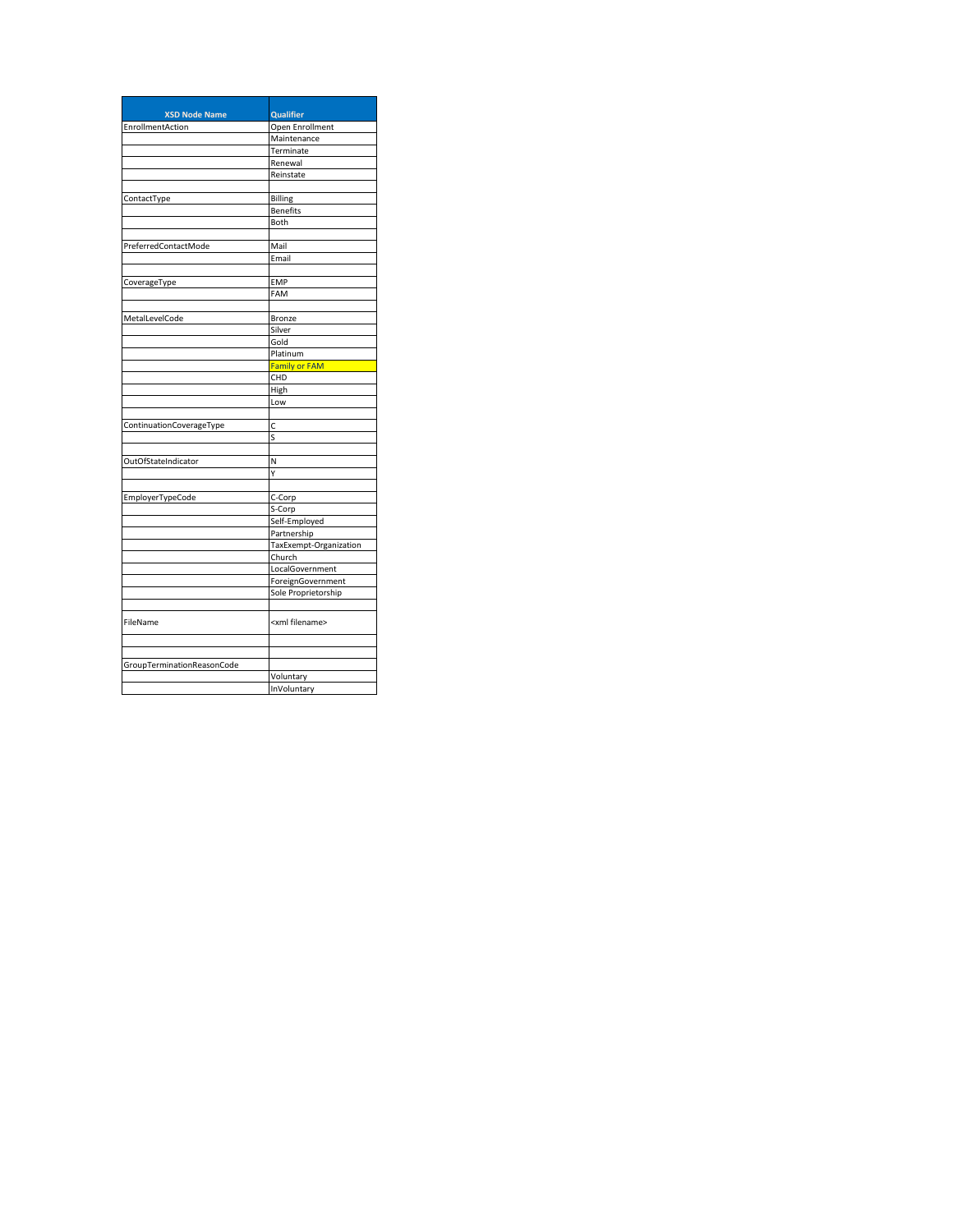| <b>XSD Node Name</b>       | Qualifier               |
|----------------------------|-------------------------|
| EnrollmentAction           | Open Enrollment         |
|                            | Maintenance             |
|                            | Terminate               |
|                            | Renewal                 |
|                            | Reinstate               |
|                            |                         |
| ContactType                | <b>Billing</b>          |
|                            | <b>Benefits</b>         |
|                            | Both                    |
|                            |                         |
| PreferredContactMode       | Mail                    |
|                            | Email                   |
|                            |                         |
| CoverageType               | <b>EMP</b>              |
|                            | FAM                     |
|                            |                         |
| MetalLevelCode             | Bronze                  |
|                            | Silver                  |
|                            | Gold                    |
|                            | Platinum                |
|                            | <b>Family or FAM</b>    |
|                            | CHD                     |
|                            | High                    |
|                            | Low                     |
|                            |                         |
| ContinuationCoverageType   | Ċ                       |
|                            | $\overline{\mathsf{s}}$ |
|                            |                         |
| OutOfStateIndicator        | N                       |
|                            | Y                       |
|                            |                         |
| EmployerTypeCode           | C-Corp                  |
|                            | S-Corp                  |
|                            | Self-Employed           |
|                            | Partnership             |
|                            | TaxExempt-Organization  |
|                            | Church                  |
|                            | LocalGovernment         |
|                            | ForeignGovernment       |
|                            | Sole Proprietorship     |
|                            |                         |
| FileName                   | <xml filename=""></xml> |
|                            |                         |
|                            |                         |
| GroupTerminationReasonCode |                         |
|                            | Voluntary               |
|                            | InVoluntary             |